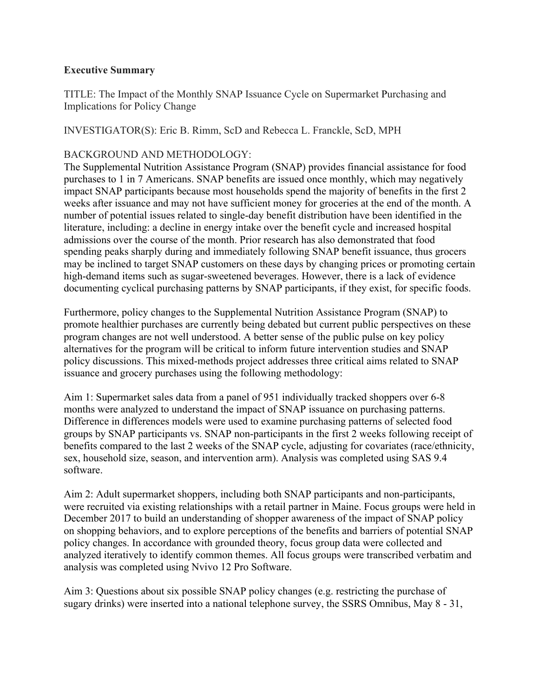## **Executive Summary**

TITLE: The Impact of the Monthly SNAP Issuance Cycle on Supermarket Purchasing and Implications for Policy Change

INVESTIGATOR(S): Eric B. Rimm, ScD and Rebecca L. Franckle, ScD, MPH

## BACKGROUND AND METHODOLOGY:

The Supplemental Nutrition Assistance Program (SNAP) provides financial assistance for food purchases to 1 in 7 Americans. SNAP benefits are issued once monthly, which may negatively impact SNAP participants because most households spend the majority of benefits in the first 2 weeks after issuance and may not have sufficient money for groceries at the end of the month. A number of potential issues related to single-day benefit distribution have been identified in the literature, including: a decline in energy intake over the benefit cycle and increased hospital admissions over the course of the month. Prior research has also demonstrated that food spending peaks sharply during and immediately following SNAP benefit issuance, thus grocers may be inclined to target SNAP customers on these days by changing prices or promoting certain high-demand items such as sugar-sweetened beverages. However, there is a lack of evidence documenting cyclical purchasing patterns by SNAP participants, if they exist, for specific foods.

Furthermore, policy changes to the Supplemental Nutrition Assistance Program (SNAP) to promote healthier purchases are currently being debated but current public perspectives on these program changes are not well understood. A better sense of the public pulse on key policy alternatives for the program will be critical to inform future intervention studies and SNAP policy discussions. This mixed-methods project addresses three critical aims related to SNAP issuance and grocery purchases using the following methodology:

Aim 1: Supermarket sales data from a panel of 951 individually tracked shoppers over 6-8 months were analyzed to understand the impact of SNAP issuance on purchasing patterns. Difference in differences models were used to examine purchasing patterns of selected food groups by SNAP participants vs. SNAP non-participants in the first 2 weeks following receipt of benefits compared to the last 2 weeks of the SNAP cycle, adjusting for covariates (race/ethnicity, sex, household size, season, and intervention arm). Analysis was completed using SAS 9.4 software.

Aim 2: Adult supermarket shoppers, including both SNAP participants and non-participants, were recruited via existing relationships with a retail partner in Maine. Focus groups were held in December 2017 to build an understanding of shopper awareness of the impact of SNAP policy on shopping behaviors, and to explore perceptions of the benefits and barriers of potential SNAP policy changes. In accordance with grounded theory, focus group data were collected and analyzed iteratively to identify common themes. All focus groups were transcribed verbatim and analysis was completed using Nvivo 12 Pro Software.

Aim 3: Questions about six possible SNAP policy changes (e.g. restricting the purchase of sugary drinks) were inserted into a national telephone survey, the SSRS Omnibus, May 8 - 31,